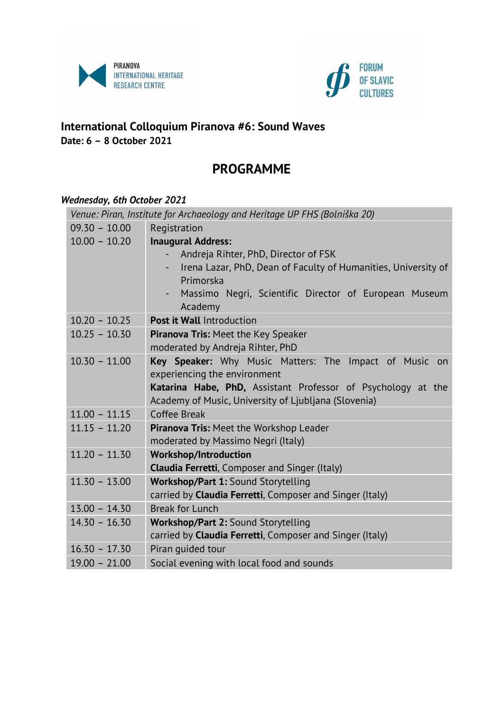



## **International Colloquium Piranova #6: Sound Waves Date: 6 – 8 October 2021**

# **PROGRAMME**

#### *Wednesday, 6th October 2021*

| Venue: Piran, Institute for Archaeology and Heritage UP FHS (Bolniška 20) |                                                                     |  |
|---------------------------------------------------------------------------|---------------------------------------------------------------------|--|
| $09.30 - 10.00$                                                           | Registration                                                        |  |
| $10.00 - 10.20$                                                           | <b>Inaugural Address:</b>                                           |  |
|                                                                           | Andreja Rihter, PhD, Director of FSK                                |  |
|                                                                           | Irena Lazar, PhD, Dean of Faculty of Humanities, University of      |  |
|                                                                           | Primorska                                                           |  |
|                                                                           | Massimo Negri, Scientific Director of European Museum               |  |
|                                                                           | Academy                                                             |  |
| $10.20 - 10.25$                                                           | <b>Post it Wall Introduction</b>                                    |  |
| $10.25 - 10.30$                                                           | Piranova Tris: Meet the Key Speaker                                 |  |
|                                                                           | moderated by Andreja Rihter, PhD                                    |  |
| $10.30 - 11.00$                                                           | Key Speaker: Why Music Matters: The Impact of Music on              |  |
|                                                                           | experiencing the environment                                        |  |
|                                                                           | <b>Katarina Habe, PhD,</b> Assistant Professor of Psychology at the |  |
|                                                                           | Academy of Music, University of Ljubljana (Slovenia)                |  |
| $11.00 - 11.15$                                                           | Coffee Break                                                        |  |
| $11.15 - 11.20$                                                           | Piranova Tris: Meet the Workshop Leader                             |  |
|                                                                           | moderated by Massimo Negri (Italy)                                  |  |
| $11.20 - 11.30$                                                           | <b>Workshop/Introduction</b>                                        |  |
|                                                                           | <b>Claudia Ferretti, Composer and Singer (Italy)</b>                |  |
| $11.30 - 13.00$                                                           | Workshop/Part 1: Sound Storytelling                                 |  |
|                                                                           | carried by Claudia Ferretti, Composer and Singer (Italy)            |  |
| $13.00 - 14.30$                                                           | <b>Break for Lunch</b>                                              |  |
| $14.30 - 16.30$                                                           | Workshop/Part 2: Sound Storytelling                                 |  |
|                                                                           | carried by Claudia Ferretti, Composer and Singer (Italy)            |  |
| $16.30 - 17.30$                                                           | Piran quided tour                                                   |  |
| $19.00 - 21.00$                                                           | Social evening with local food and sounds                           |  |